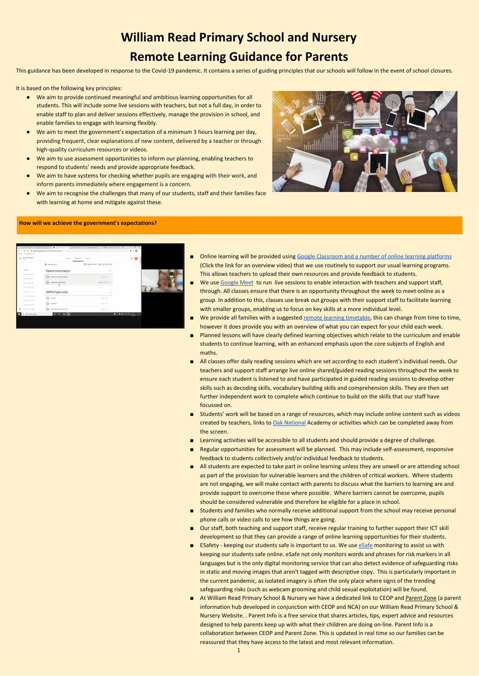## **William Read Primary School and Nursery Remote Learning Guidance for Parents**

This guidance has been developed in response to the Covid-19 pandemic. It contains a series of guiding principles that our schools will follow in the event of school closures.

It is based on the following key principles:

- We aim to provide continued meaningful and ambitious learning opportunities for all students. This will include some live sessions with teachers, but not a full day, in order to enable staff to plan and deliver sessions effectively, manage the provision in school, and enable families to engage with learning flexibly.
- We aim to meet the government's expectation of a minimum 3 hours learning per day, providing frequent, clear explanations of new content, delivered by a teacher or through high-quality curriculum resources or videos.
- We aim to use assessment opportunities to inform our planning, enabling teachers to respond to students' needs and provide appropriate feedback.
- We aim to have systems for checking whether pupils are engaging with their work, and inform parents immediately where engagement is a concern.
- We aim to recognise the challenges that many of our students, staff and their families face with learning at home and mitigate against these.



- Online learning will be provided using Google [Classroom](https://drive.google.com/file/d/1GjpUWIwEEK2op0Q1M4XJZfqNpKlwW68j/view?usp=sharing) and a number of online learning platforms (Click the link for an overview video) that we use routinely to support our usual learning programs. This allows teachers to upload their own resources and provide feedback to students.
- We use [Google](https://meet.google.com/) Meet to run live sessions to enable interaction with teachers and support staff, through. All classes ensure that there is an opportunity throughout the week to meet online as a group. In addition to this, classes use break out groups with their support staff to facilitate learning with smaller groups, enabling us to focus on key skills at a more individual level.
- We provide all families with a suggested remote learning [timetable,](https://drive.google.com/file/d/1H0xtuvD5pef_1PCLqM-lmrIKi2b_p8Ae/view?usp=sharing) this can change from time to time, however it does provide you with an overview of what you can expect for your child each week.
- Planned lessons will have clearly defined learning objectives which relate to the curriculum and enable students to continue learning, with an enhanced emphasis upon the core subjects of English and maths.
- All classes offer daily reading sessions which are set according to each student's individual needs. Our teachers and support staff arrange live online shared/guided reading sessions throughout the week to ensure each student is listened to and have participated in guided reading sessions to develop other skills such as decoding skills, vocabulary building skills and comprehension skills. They are then set further independent work to complete which continue to build on the skills that our staff have focussed on.
- Students' work will be based on a range of resources, which may include online content such as videos created by teachers, links to Oak [National](https://classroom.thenational.academy/) Academy or activities which can be completed away from the screen.
- Learning activities will be accessible to all students and should provide a degree of challenge.
- Regular opportunities for assessment will be planned. This may include self-assessment, responsive feedback to students collectively and/or individual feedback to students.
- All students are expected to take part in online learning unless they are unwell or are attending school as part of the provision for vulnerable learners and the children of critical workers. Where students are not engaging, we will make contact with parents to discuss what the barriers to learning are and provide support to overcome these where possible. Where barriers cannot be overcome, pupils should be considered vulnerable and therefore be eligible for a place in school.
- 
- Students and families who normally receive additional support from the school may receive personal phone calls or video calls to see how things are going.
- Our staff, both teaching and support staff, receive regular training to further support their ICT skill development so that they can provide a range of online learning opportunities for their students.
- ESafety keeping our students safe is important to us. We use [eSafe](https://www.esafeglobal.com/) monitoring to assist us with keeping our students safe online. eSafe not only monitors words and phrases for risk markers in all languages but is the only digital monitoring service that can also detect evidence of safeguarding risks in static and moving images that aren't tagged with descriptive copy. This is particularly important in the current pandemic, as isolated imagery is often the only place where signs of the trending safeguarding risks (such as webcam grooming and child sexual exploitation) will be found.
- At William Read Primary School & Nursery we have a dedicated link to CEOP and [Parent](https://www.williamread.essex.sch.uk/page/?title=CEOP+and+Parent+Zone&pid=63) Zone (a parent information hub developed in conjunction with CEOP and NCA) on our William Read Primary School & Nursery Website. . Parent Info is a free service that shares articles, tips, expert advice and resources designed to help parents keep up with what their children are doing on-line. Parent Info is a collaboration between CEOP and Parent Zone. This is updated in real time so our families can be reassured that they have access to the latest and most relevant information.

1

## **How will we achieve the government's expectations?**

| $\equiv$ 30 - 2020/2021<br>1652           | <b>Stream</b>                             | Pacipier<br>Clecowork                    |                                                                          | 田<br>6.14 |  |
|-------------------------------------------|-------------------------------------------|------------------------------------------|--------------------------------------------------------------------------|-----------|--|
|                                           | (I) Van your work                         | Cass Drive Callerdar  Class Drive Folder |                                                                          |           |  |
| All topics                                | Parent Information                        |                                          |                                                                          |           |  |
| Parent Information<br>WIPS Pupil Links    | <b>Barnote Learning Timetable</b>         | Payment & Juan                           |                                                                          |           |  |
| 0pt 1 VA 4 (25 - 29                       | Homework Expectations                     | usernormo I                              |                                                                          |           |  |
| Ter 1 VA 2 (18 - 22                       |                                           |                                          |                                                                          |           |  |
| Apr 1 NH 2271 - 16                        | <b>WRPS Pupil Links</b>                   |                                          |                                                                          |           |  |
| $7.071$ Wh 1 (d) (E.246)<br>A4219704-18 - | <b><i><u>Uherecy</u></i></b>              | Killfied 11 Jan                          |                                                                          |           |  |
| Ad 198.6719-28.                           | Numeracy                                  | <b>Golfed 11 Jan.</b>                    |                                                                          |           |  |
| Aut 2101 1 (2 - 6 Nov)                    | Topic Ideas/Nome Learning                 | <b>British Kuser</b>                     |                                                                          |           |  |
| C 1984 Mile M Search                      | $\circ$<br>$\blacksquare$<br><b>B. R.</b> |                                          | $\mathbf{Q} \wedge \mathbf{I} = \text{arg} \boxplus \text{arg} \text{C}$ |           |  |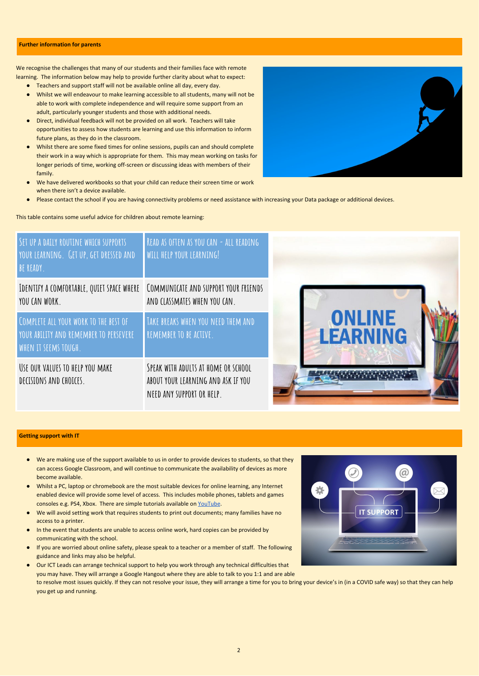We recognise the challenges that many of our students and their families face with remote learning. The information below may help to provide further clarity about what to expect:

- Teachers and support staff will not be available online all day, every day.
- Whilst we will endeavour to make learning accessible to all students, many will not be able to work with complete independence and will require some support from an adult, particularly younger students and those with additional needs.
- Direct, individual feedback will not be provided on all work. Teachers will take opportunities to assess how students are learning and use this information to inform future plans, as they do in the classroom.
- Whilst there are some fixed times for online sessions, pupils can and should complete their work in a way which is appropriate for them. This may mean working on tasks for longer periods of time, working off-screen or discussing ideas with members of their family.
- We have delivered workbooks so that your child can reduce their screen time or work when there isn't a device available.



Please contact the school if you are having connectivity problems or need assistance with increasing your Data package or additional devices.

This table contains some useful advice for children about remote learning:

- In the event that students are unable to access online work, hard copies can be provided by communicating with the school.
- If you are worried about online safety, please speak to a teacher or a member of staff. The following guidance and links may also be helpful.
- Our ICT Leads can arrange technical support to help you work through any technical difficulties that you may have. They will arrange a Google Hangout where they are able to talk to you 1:1 and are able to resolve most issues quickly. If they can not resolve your issue, they will arrange a time for you to bring your device's in (in a COVID safe way) so that they can help you get up and running.
- We are making use of the support available to us in order to provide devices to students, so that they can access Google Classroom, and will continue to communicate the availability of devices as more become available.
- Whilst a PC, laptop or chromebook are the most suitable devices for online learning, any Internet enabled device will provide some level of access. This includes mobile phones, tablets and games consoles e.g. PS4, Xbox. There are simple tutorials available on [YouTube.](https://www.youtube.com/)
- We will avoid setting work that requires students to print out documents; many families have no access to a printer.



2

## **Further information for parents**

| SET UP A DAILY ROUTINE WHICH SUPPORTS<br>YOUR LEARNING. GET UP, GET DRESSED AND<br>BE READY.            | READ AS OFTEN AS YOU CAN - ALL READING<br>WILL HELP YOUR LEARNING!                                     |                                  |
|---------------------------------------------------------------------------------------------------------|--------------------------------------------------------------------------------------------------------|----------------------------------|
| IDENTIFY A COMFORTABLE, QUIET SPACE WHERE<br>YOU CAN WORK.                                              | COMMUNICATE AND SUPPORT YOUR FRIENDS<br>AND CLASSMATES WHEN YOU CAN.                                   |                                  |
| COMPLETE ALL YOUR WORK TO THE BEST OF<br>YOUR ABILITY AND REMEMBER TO PERSEVERE<br>WHEN IT SEEMS TOUGH. | TAKE BREAKS WHEN YOU NEED THEM AND<br>REMEMBER TO BE ACTIVE.                                           | <b>ONLINE</b><br><b>LEARNING</b> |
| USE OUR VALUES TO HELP YOU MAKE<br>DECISIONS AND CHOICES.                                               | SPEAK WITH ADULTS AT HOME OR SCHOOL<br>ABOUT YOUR LEARNING AND ASK IF YOU<br>NEED ANY SUPPORT OR HELP. |                                  |

## **Getting support with IT**